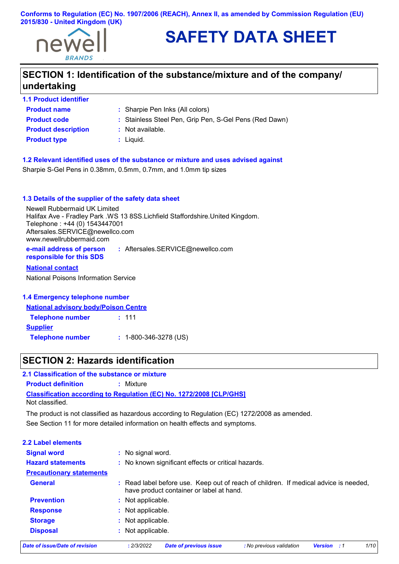

# **SAFETY DATA SHEET**

# **SECTION 1: Identification of the substance/mixture and of the company/ undertaking**

**1.1 Product identifier**

**Product type <b>by :** Liquid. **Product description :** Not available.

- **Product name** : Sharpie Pen Inks (All colors)
- **Product code :** Stainless Steel Pen, Grip Pen, S-Gel Pens (Red Dawn)
	- -

**1.2 Relevant identified uses of the substance or mixture and uses advised against**

Sharpie S-Gel Pens in 0.38mm, 0.5mm, 0.7mm, and 1.0mm tip sizes

#### **1.3 Details of the supplier of the safety data sheet**

Newell Rubbermaid UK Limited Halifax Ave - Fradley Park .WS 13 8SS.Lichfield Staffordshire.United Kingdom. Telephone : +44 (0) 1543447001 Aftersales.SERVICE@newellco.com www.newellrubbermaid.com

**e-mail address of person responsible for this SDS :** Aftersales.SERVICE@newellco.com

#### **National contact**

National Poisons Information Service

#### **1.4 Emergency telephone number**

#### **National advisory body/Poison Centre**

| <b>Telephone number</b> | : 111                         |
|-------------------------|-------------------------------|
| <b>Supplier</b>         |                               |
| <b>Telephone number</b> | $: 1 - 800 - 346 - 3278$ (US) |

### **SECTION 2: Hazards identification**

**Classification according to Regulation (EC) No. 1272/2008 [CLP/GHS] 2.1 Classification of the substance or mixture Product definition :** Mixture Not classified.

See Section 11 for more detailed information on health effects and symptoms. The product is not classified as hazardous according to Regulation (EC) 1272/2008 as amended.

#### **2.2 Label elements**

| Date of issue/Date of revision  | 1/10<br>: 2/3/2022<br><b>Date of previous issue</b><br>: No previous validation<br><b>Version</b> : 1                            |
|---------------------------------|----------------------------------------------------------------------------------------------------------------------------------|
| <b>Disposal</b>                 | : Not applicable.                                                                                                                |
| <b>Storage</b>                  | : Not applicable.                                                                                                                |
| <b>Response</b>                 | : Not applicable.                                                                                                                |
| <b>Prevention</b>               | : Not applicable.                                                                                                                |
| <b>General</b>                  | : Read label before use. Keep out of reach of children. If medical advice is needed,<br>have product container or label at hand. |
| <b>Precautionary statements</b> |                                                                                                                                  |
| <b>Hazard statements</b>        | : No known significant effects or critical hazards.                                                                              |
| <b>Signal word</b>              | : No signal word.                                                                                                                |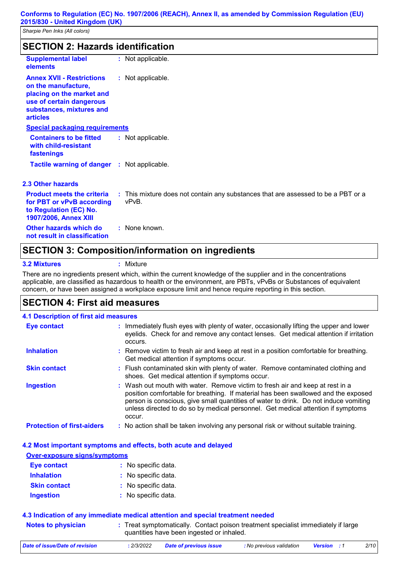| <b>SECTION 2: Hazards identification</b>                                                                                                                        |                                                                                            |  |  |  |
|-----------------------------------------------------------------------------------------------------------------------------------------------------------------|--------------------------------------------------------------------------------------------|--|--|--|
| <b>Supplemental label</b><br>elements                                                                                                                           | : Not applicable.                                                                          |  |  |  |
| <b>Annex XVII - Restrictions</b><br>on the manufacture,<br>placing on the market and<br>use of certain dangerous<br>substances, mixtures and<br><b>articles</b> | : Not applicable.                                                                          |  |  |  |
| <b>Special packaging requirements</b>                                                                                                                           |                                                                                            |  |  |  |
| <b>Containers to be fitted</b><br>with child-resistant<br>fastenings                                                                                            | : Not applicable.                                                                          |  |  |  |
| <b>Tactile warning of danger : Not applicable.</b>                                                                                                              |                                                                                            |  |  |  |
| 2.3 Other hazards                                                                                                                                               |                                                                                            |  |  |  |
| <b>Product meets the criteria</b><br>for PBT or vPvB according<br>to Regulation (EC) No.<br>1907/2006, Annex XIII                                               | : This mixture does not contain any substances that are assessed to be a PBT or a<br>vPvB. |  |  |  |
| Other hazards which do<br>not result in classification                                                                                                          | : None known.                                                                              |  |  |  |
| APATIALIA A                                                                                                                                                     | <b>A</b> 4.9<br>$\mathbf{r}$ $\mathbf{r}$<br>.<br>.                                        |  |  |  |

### **SECTION 3: Composition/information on ingredients**

**3.2 Mixtures :** Mixture

There are no ingredients present which, within the current knowledge of the supplier and in the concentrations applicable, are classified as hazardous to health or the environment, are PBTs, vPvBs or Substances of equivalent concern, or have been assigned a workplace exposure limit and hence require reporting in this section.

### **SECTION 4: First aid measures**

| <b>4.1 Description of first aid measures</b> |                                                                                                                                                                                                                                                                                                                                                           |
|----------------------------------------------|-----------------------------------------------------------------------------------------------------------------------------------------------------------------------------------------------------------------------------------------------------------------------------------------------------------------------------------------------------------|
|                                              |                                                                                                                                                                                                                                                                                                                                                           |
| <b>Eye contact</b>                           | : Immediately flush eyes with plenty of water, occasionally lifting the upper and lower<br>eyelids. Check for and remove any contact lenses. Get medical attention if irritation<br>occurs.                                                                                                                                                               |
| <b>Inhalation</b>                            | : Remove victim to fresh air and keep at rest in a position comfortable for breathing.<br>Get medical attention if symptoms occur.                                                                                                                                                                                                                        |
| <b>Skin contact</b>                          | : Flush contaminated skin with plenty of water. Remove contaminated clothing and<br>shoes. Get medical attention if symptoms occur.                                                                                                                                                                                                                       |
| <b>Ingestion</b>                             | : Wash out mouth with water. Remove victim to fresh air and keep at rest in a<br>position comfortable for breathing. If material has been swallowed and the exposed<br>person is conscious, give small quantities of water to drink. Do not induce vomiting<br>unless directed to do so by medical personnel. Get medical attention if symptoms<br>occur. |
| <b>Protection of first-aiders</b>            | : No action shall be taken involving any personal risk or without suitable training.                                                                                                                                                                                                                                                                      |

#### **4.2 Most important symptoms and effects, both acute and delayed**

| Over-exposure signs/symptoms |                     |  |  |  |
|------------------------------|---------------------|--|--|--|
| <b>Eye contact</b>           | : No specific data. |  |  |  |
| <b>Inhalation</b>            | : No specific data. |  |  |  |
| <b>Skin contact</b>          | : No specific data. |  |  |  |
| <b>Ingestion</b>             | : No specific data. |  |  |  |

### **4.3 Indication of any immediate medical attention and special treatment needed**

**Notes to physician** Treat symptomatically. Contact poison treatment specialist immediately if large **:** quantities have been ingested or inhaled.

| Date of issue/Date of revision | 2/3/2022 | Date of previous issue | : No previous validation | <b>Version</b> : 1 | 2/10 |
|--------------------------------|----------|------------------------|--------------------------|--------------------|------|
|                                |          |                        |                          |                    |      |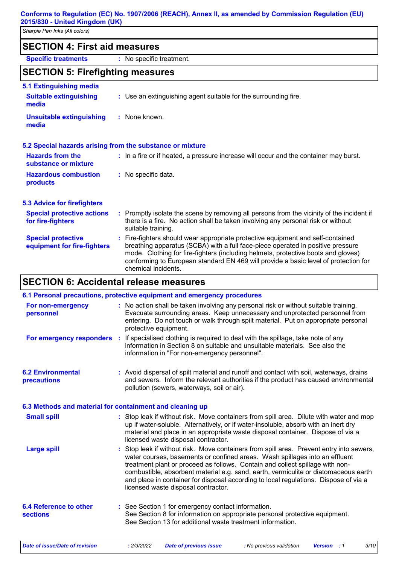*Sharpie Pen Inks (All colors)*

## **SECTION 4: First aid measures**

**Specific treatments :** No specific treatment.

## **SECTION 5: Firefighting measures**

| <b>5.1 Extinguishing media</b>                           |                                                                                                                                                                                                                                                                                                                                                                       |
|----------------------------------------------------------|-----------------------------------------------------------------------------------------------------------------------------------------------------------------------------------------------------------------------------------------------------------------------------------------------------------------------------------------------------------------------|
| <b>Suitable extinguishing</b><br>media                   | : Use an extinguishing agent suitable for the surrounding fire.                                                                                                                                                                                                                                                                                                       |
| <b>Unsuitable extinguishing</b><br>media                 | : None known.                                                                                                                                                                                                                                                                                                                                                         |
|                                                          | 5.2 Special hazards arising from the substance or mixture                                                                                                                                                                                                                                                                                                             |
| <b>Hazards from the</b><br>substance or mixture          | : In a fire or if heated, a pressure increase will occur and the container may burst.                                                                                                                                                                                                                                                                                 |
| <b>Hazardous combustion</b><br>products                  | : No specific data.                                                                                                                                                                                                                                                                                                                                                   |
| <b>5.3 Advice for firefighters</b>                       |                                                                                                                                                                                                                                                                                                                                                                       |
| <b>Special protective actions</b><br>for fire-fighters   | : Promptly isolate the scene by removing all persons from the vicinity of the incident if<br>there is a fire. No action shall be taken involving any personal risk or without<br>suitable training.                                                                                                                                                                   |
| <b>Special protective</b><br>equipment for fire-fighters | : Fire-fighters should wear appropriate protective equipment and self-contained<br>breathing apparatus (SCBA) with a full face-piece operated in positive pressure<br>mode. Clothing for fire-fighters (including helmets, protective boots and gloves)<br>conforming to European standard EN 469 will provide a basic level of protection for<br>chemical incidents. |

# **SECTION 6: Accidental release measures**

|                                                          | 6.1 Personal precautions, protective equipment and emergency procedures                                                                                                                                                                                                                                                                                                                                                                                                        |
|----------------------------------------------------------|--------------------------------------------------------------------------------------------------------------------------------------------------------------------------------------------------------------------------------------------------------------------------------------------------------------------------------------------------------------------------------------------------------------------------------------------------------------------------------|
| For non-emergency<br>personnel                           | : No action shall be taken involving any personal risk or without suitable training.<br>Evacuate surrounding areas. Keep unnecessary and unprotected personnel from<br>entering. Do not touch or walk through spilt material. Put on appropriate personal<br>protective equipment.                                                                                                                                                                                             |
|                                                          | For emergency responders : If specialised clothing is required to deal with the spillage, take note of any<br>information in Section 8 on suitable and unsuitable materials. See also the<br>information in "For non-emergency personnel".                                                                                                                                                                                                                                     |
| <b>6.2 Environmental</b><br>precautions                  | : Avoid dispersal of spilt material and runoff and contact with soil, waterways, drains<br>and sewers. Inform the relevant authorities if the product has caused environmental<br>pollution (sewers, waterways, soil or air).                                                                                                                                                                                                                                                  |
| 6.3 Methods and material for containment and cleaning up |                                                                                                                                                                                                                                                                                                                                                                                                                                                                                |
| <b>Small spill</b>                                       | : Stop leak if without risk. Move containers from spill area. Dilute with water and mop<br>up if water-soluble. Alternatively, or if water-insoluble, absorb with an inert dry<br>material and place in an appropriate waste disposal container. Dispose of via a<br>licensed waste disposal contractor.                                                                                                                                                                       |
| <b>Large spill</b>                                       | : Stop leak if without risk. Move containers from spill area. Prevent entry into sewers,<br>water courses, basements or confined areas. Wash spillages into an effluent<br>treatment plant or proceed as follows. Contain and collect spillage with non-<br>combustible, absorbent material e.g. sand, earth, vermiculite or diatomaceous earth<br>and place in container for disposal according to local regulations. Dispose of via a<br>licensed waste disposal contractor. |
| <b>6.4 Reference to other</b><br><b>sections</b>         | : See Section 1 for emergency contact information.<br>See Section 8 for information on appropriate personal protective equipment.<br>See Section 13 for additional waste treatment information.                                                                                                                                                                                                                                                                                |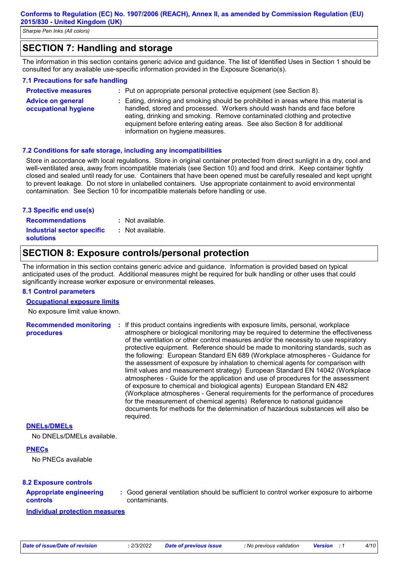*Sharpie Pen Inks (All colors)*

# **SECTION 7: Handling and storage**

The information in this section contains generic advice and guidance. The list of Identified Uses in Section 1 should be consulted for any available use-specific information provided in the Exposure Scenario(s).

#### **7.1 Precautions for safe handling**

| <b>Protective measures</b>                       | : Put on appropriate personal protective equipment (see Section 8).                                                                                                                                                                                                                                                       |
|--------------------------------------------------|---------------------------------------------------------------------------------------------------------------------------------------------------------------------------------------------------------------------------------------------------------------------------------------------------------------------------|
| <b>Advice on general</b><br>occupational hygiene | : Eating, drinking and smoking should be prohibited in areas where this material is<br>handled, stored and processed. Workers should wash hands and face before<br>eating, drinking and smoking. Remove contaminated clothing and protective<br>equipment before entering eating areas. See also Section 8 for additional |

information on hygiene measures.

#### **7.2 Conditions for safe storage, including any incompatibilities**

Store in accordance with local regulations. Store in original container protected from direct sunlight in a dry, cool and well-ventilated area, away from incompatible materials (see Section 10) and food and drink. Keep container tightly closed and sealed until ready for use. Containers that have been opened must be carefully resealed and kept upright to prevent leakage. Do not store in unlabelled containers. Use appropriate containment to avoid environmental contamination. See Section 10 for incompatible materials before handling or use.

#### **7.3 Specific end use(s)**

**Recommendations : Industrial sector specific : solutions**

- : Not available.
- : Not available.

### **SECTION 8: Exposure controls/personal protection**

The information in this section contains generic advice and guidance. Information is provided based on typical anticipated uses of the product. Additional measures might be required for bulk handling or other uses that could significantly increase worker exposure or environmental releases.

#### **8.1 Control parameters**

#### **Occupational exposure limits**

No exposure limit value known.

**Recommended monitoring procedures :** If this product contains ingredients with exposure limits, personal, workplace atmosphere or biological monitoring may be required to determine the effectiveness of the ventilation or other control measures and/or the necessity to use respiratory protective equipment. Reference should be made to monitoring standards, such as the following: European Standard EN 689 (Workplace atmospheres - Guidance for the assessment of exposure by inhalation to chemical agents for comparison with limit values and measurement strategy) European Standard EN 14042 (Workplace atmospheres - Guide for the application and use of procedures for the assessment of exposure to chemical and biological agents) European Standard EN 482 (Workplace atmospheres - General requirements for the performance of procedures for the measurement of chemical agents) Reference to national guidance documents for methods for the determination of hazardous substances will also be required.

#### **DNELs/DMELs**

No DNELs/DMELs available.

#### **PNECs**

No PNECs available

#### **8.2 Exposure controls**

#### **Appropriate engineering controls**

**:** Good general ventilation should be sufficient to control worker exposure to airborne contaminants.

**Individual protection measures**

*Date of issue/Date of revision* **:** *2/3/2022 Date of previous issue : No previous validation Version : 1 4/10*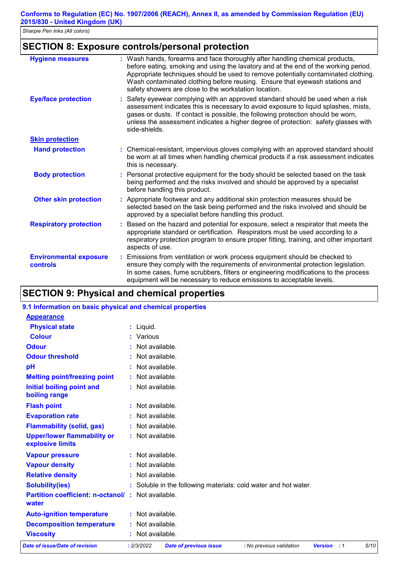### **SECTION 8: Exposure controls/personal protection**

| <b>Hygiene measures</b>                          | : Wash hands, forearms and face thoroughly after handling chemical products,<br>before eating, smoking and using the lavatory and at the end of the working period.<br>Appropriate techniques should be used to remove potentially contaminated clothing.<br>Wash contaminated clothing before reusing. Ensure that eyewash stations and<br>safety showers are close to the workstation location. |
|--------------------------------------------------|---------------------------------------------------------------------------------------------------------------------------------------------------------------------------------------------------------------------------------------------------------------------------------------------------------------------------------------------------------------------------------------------------|
| <b>Eye/face protection</b>                       | Safety eyewear complying with an approved standard should be used when a risk<br>assessment indicates this is necessary to avoid exposure to liquid splashes, mists,<br>gases or dusts. If contact is possible, the following protection should be worn,<br>unless the assessment indicates a higher degree of protection: safety glasses with<br>side-shields.                                   |
| <b>Skin protection</b>                           |                                                                                                                                                                                                                                                                                                                                                                                                   |
| <b>Hand protection</b>                           | : Chemical-resistant, impervious gloves complying with an approved standard should<br>be worn at all times when handling chemical products if a risk assessment indicates<br>this is necessary.                                                                                                                                                                                                   |
| <b>Body protection</b>                           | Personal protective equipment for the body should be selected based on the task<br>being performed and the risks involved and should be approved by a specialist<br>before handling this product.                                                                                                                                                                                                 |
| <b>Other skin protection</b>                     | : Appropriate footwear and any additional skin protection measures should be<br>selected based on the task being performed and the risks involved and should be<br>approved by a specialist before handling this product.                                                                                                                                                                         |
| <b>Respiratory protection</b>                    | Based on the hazard and potential for exposure, select a respirator that meets the<br>t<br>appropriate standard or certification. Respirators must be used according to a<br>respiratory protection program to ensure proper fitting, training, and other important<br>aspects of use.                                                                                                            |
| <b>Environmental exposure</b><br><b>controls</b> | Emissions from ventilation or work process equipment should be checked to<br>ensure they comply with the requirements of environmental protection legislation.<br>In some cases, fume scrubbers, filters or engineering modifications to the process<br>equipment will be necessary to reduce emissions to acceptable levels.                                                                     |

# **SECTION 9: Physical and chemical properties**

### **9.1 Information on basic physical and chemical properties**

| <b>Appearance</b>                                      |                                                                 |                          |                |            |      |
|--------------------------------------------------------|-----------------------------------------------------------------|--------------------------|----------------|------------|------|
| <b>Physical state</b>                                  | : Liquid.                                                       |                          |                |            |      |
| <b>Colour</b>                                          | : Various                                                       |                          |                |            |      |
| <b>Odour</b>                                           | : Not available.                                                |                          |                |            |      |
| <b>Odour threshold</b>                                 | : Not available.                                                |                          |                |            |      |
| pH                                                     | : Not available.                                                |                          |                |            |      |
| <b>Melting point/freezing point</b>                    | : Not available.                                                |                          |                |            |      |
| Initial boiling point and<br>boiling range             | : Not available.                                                |                          |                |            |      |
| <b>Flash point</b>                                     | : Not available.                                                |                          |                |            |      |
| <b>Evaporation rate</b>                                | : Not available.                                                |                          |                |            |      |
| <b>Flammability (solid, gas)</b>                       | : Not available.                                                |                          |                |            |      |
| <b>Upper/lower flammability or</b><br>explosive limits | : Not available.                                                |                          |                |            |      |
| <b>Vapour pressure</b>                                 | : Not available.                                                |                          |                |            |      |
| <b>Vapour density</b>                                  | : Not available.                                                |                          |                |            |      |
| <b>Relative density</b>                                | : Not available.                                                |                          |                |            |      |
| <b>Solubility(ies)</b>                                 | : Soluble in the following materials: cold water and hot water. |                          |                |            |      |
| <b>Partition coefficient: n-octanol/</b><br>water      | $\therefore$ Not available.                                     |                          |                |            |      |
| <b>Auto-ignition temperature</b>                       | : Not available.                                                |                          |                |            |      |
| <b>Decomposition temperature</b>                       | : Not available.                                                |                          |                |            |      |
| <b>Viscosity</b>                                       | : Not available.                                                |                          |                |            |      |
| Date of issue/Date of revision                         | : 2/3/2022<br><b>Date of previous issue</b>                     | : No previous validation | <b>Version</b> | $\cdot$ :1 | 5/10 |
|                                                        |                                                                 |                          |                |            |      |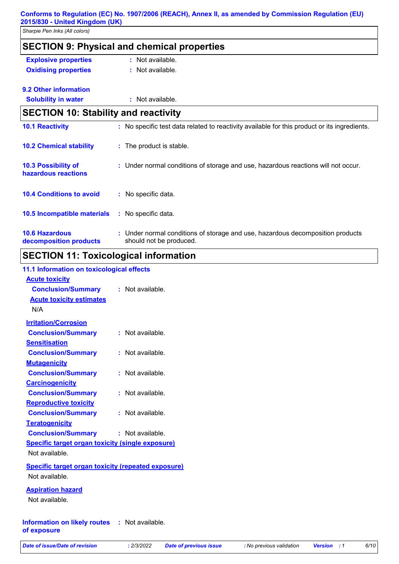| Sharpie Pen Inks (All colors)                   |                                                                                                           |
|-------------------------------------------------|-----------------------------------------------------------------------------------------------------------|
|                                                 | <b>SECTION 9: Physical and chemical properties</b>                                                        |
| <b>Explosive properties</b>                     | : Not available.                                                                                          |
| <b>Oxidising properties</b>                     | : Not available.                                                                                          |
| 9.2 Other information                           |                                                                                                           |
| <b>Solubility in water</b>                      | : Not available.                                                                                          |
| <b>SECTION 10: Stability and reactivity</b>     |                                                                                                           |
| <b>10.1 Reactivity</b>                          | : No specific test data related to reactivity available for this product or its ingredients.              |
| <b>10.2 Chemical stability</b>                  | : The product is stable.                                                                                  |
| 10.3 Possibility of<br>hazardous reactions      | : Under normal conditions of storage and use, hazardous reactions will not occur.                         |
| <b>10.4 Conditions to avoid</b>                 | : No specific data.                                                                                       |
| 10.5 Incompatible materials                     | : No specific data.                                                                                       |
| <b>10.6 Hazardous</b><br>decomposition products | : Under normal conditions of storage and use, hazardous decomposition products<br>should not be produced. |

### **SECTION 11: Toxicological information**

### **11.1 Information on toxicological effects**

| <b>Acute toxicity</b>                                     |                    |
|-----------------------------------------------------------|--------------------|
| <b>Conclusion/Summary</b>                                 | : Not available.   |
| <b>Acute toxicity estimates</b>                           |                    |
| N/A                                                       |                    |
| <b>Irritation/Corrosion</b>                               |                    |
| <b>Conclusion/Summary</b>                                 | : Not available.   |
| <b>Sensitisation</b>                                      |                    |
| <b>Conclusion/Summary</b>                                 | : Not available.   |
| <b>Mutagenicity</b>                                       |                    |
| <b>Conclusion/Summary</b>                                 | : Not available.   |
| <b>Carcinogenicity</b>                                    |                    |
| <b>Conclusion/Summary</b>                                 | $:$ Not available. |
| <b>Reproductive toxicity</b>                              |                    |
| <b>Conclusion/Summary</b>                                 | : Not available.   |
| <b>Teratogenicity</b>                                     |                    |
| <b>Conclusion/Summary</b>                                 | : Not available.   |
| <b>Specific target organ toxicity (single exposure)</b>   |                    |
| Not available.                                            |                    |
| <b>Specific target organ toxicity (repeated exposure)</b> |                    |
| Not available.                                            |                    |
|                                                           |                    |
| <b>Aspiration hazard</b><br>Not available.                |                    |
|                                                           |                    |
|                                                           |                    |

#### **Information on likely routes : Not available. of exposure**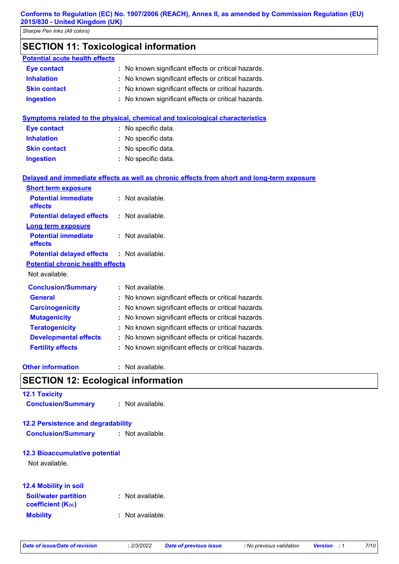# **SECTION 11: Toxicological information**

| <b>Potential acute health effects</b>     |                                                                                            |
|-------------------------------------------|--------------------------------------------------------------------------------------------|
| <b>Eye contact</b>                        | : No known significant effects or critical hazards.                                        |
| <b>Inhalation</b>                         | No known significant effects or critical hazards.                                          |
| <b>Skin contact</b>                       | No known significant effects or critical hazards.                                          |
| <b>Ingestion</b>                          | No known significant effects or critical hazards.                                          |
|                                           | <b>Symptoms related to the physical, chemical and toxicological characteristics</b>        |
| <b>Eye contact</b>                        | : No specific data.                                                                        |
| <b>Inhalation</b>                         | No specific data.                                                                          |
| <b>Skin contact</b>                       | : No specific data.                                                                        |
| <b>Ingestion</b>                          | : No specific data.                                                                        |
|                                           | Delayed and immediate effects as well as chronic effects from short and long-term exposure |
| <b>Short term exposure</b>                |                                                                                            |
| <b>Potential immediate</b><br>effects     | : Not available.                                                                           |
| <b>Potential delayed effects</b>          | : Not available.                                                                           |
| <b>Long term exposure</b>                 |                                                                                            |
| <b>Potential immediate</b><br>effects     | : Not available.                                                                           |
| <b>Potential delayed effects</b>          | : Not available.                                                                           |
| <b>Potential chronic health effects</b>   |                                                                                            |
| Not available.                            |                                                                                            |
| <b>Conclusion/Summary</b>                 | : Not available.                                                                           |
| <b>General</b>                            | No known significant effects or critical hazards.                                          |
| <b>Carcinogenicity</b>                    | No known significant effects or critical hazards.                                          |
| <b>Mutagenicity</b>                       | No known significant effects or critical hazards.                                          |
| <b>Teratogenicity</b>                     | No known significant effects or critical hazards.                                          |
| <b>Developmental effects</b>              | No known significant effects or critical hazards.                                          |
| <b>Fertility effects</b>                  | : No known significant effects or critical hazards.                                        |
| <b>Other information</b>                  | : Not available.                                                                           |
| <b>SECTION 12: Ecological information</b> |                                                                                            |
| <b>12.1 Toxicity</b>                      |                                                                                            |
| <b>Conclusion/Summary</b>                 | : Not available.                                                                           |
| <b>12.2 Persistence and degradability</b> |                                                                                            |
| <b>Conclusion/Summary</b>                 | : Not available.                                                                           |
| <b>12.3 Bioaccumulative potential</b>     |                                                                                            |

Not available.

| <b>12.4 Mobility in soil</b>                            |                  |
|---------------------------------------------------------|------------------|
| <b>Soil/water partition</b><br><b>coefficient (Koc)</b> | : Not available. |
| <b>Mobility</b>                                         | : Not available. |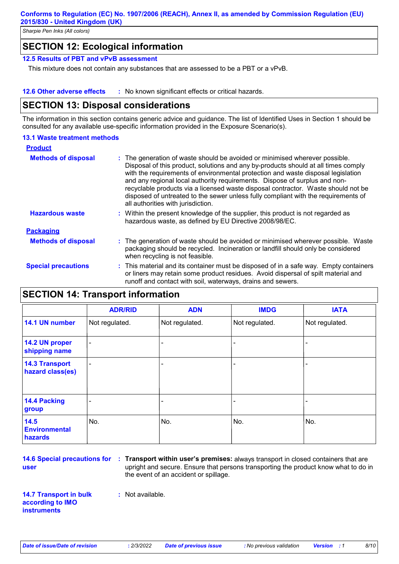## **SECTION 12: Ecological information**

#### **12.5 Results of PBT and vPvB assessment**

This mixture does not contain any substances that are assessed to be a PBT or a vPvB.

#### **12.6 Other adverse effects** : No known significant effects or critical hazards.

### **SECTION 13: Disposal considerations**

The information in this section contains generic advice and guidance. The list of Identified Uses in Section 1 should be consulted for any available use-specific information provided in the Exposure Scenario(s).

#### **13.1 Waste treatment methods**

| <b>Product</b>             |                                                                                                                                                                                                                                                                                                                                                                                                                                                                                                                                                      |
|----------------------------|------------------------------------------------------------------------------------------------------------------------------------------------------------------------------------------------------------------------------------------------------------------------------------------------------------------------------------------------------------------------------------------------------------------------------------------------------------------------------------------------------------------------------------------------------|
| <b>Methods of disposal</b> | : The generation of waste should be avoided or minimised wherever possible.<br>Disposal of this product, solutions and any by-products should at all times comply<br>with the requirements of environmental protection and waste disposal legislation<br>and any regional local authority requirements. Dispose of surplus and non-<br>recyclable products via a licensed waste disposal contractor. Waste should not be<br>disposed of untreated to the sewer unless fully compliant with the requirements of<br>all authorities with jurisdiction. |
| <b>Hazardous waste</b>     | : Within the present knowledge of the supplier, this product is not regarded as<br>hazardous waste, as defined by EU Directive 2008/98/EC.                                                                                                                                                                                                                                                                                                                                                                                                           |
| <b>Packaging</b>           |                                                                                                                                                                                                                                                                                                                                                                                                                                                                                                                                                      |
| <b>Methods of disposal</b> | : The generation of waste should be avoided or minimised wherever possible. Waste<br>packaging should be recycled. Incineration or landfill should only be considered<br>when recycling is not feasible.                                                                                                                                                                                                                                                                                                                                             |
| <b>Special precautions</b> | : This material and its container must be disposed of in a safe way. Empty containers<br>or liners may retain some product residues. Avoid dispersal of spilt material and<br>runoff and contact with soil, waterways, drains and sewers.                                                                                                                                                                                                                                                                                                            |

# **SECTION 14: Transport information**

|                                           | <b>ADR/RID</b> | <b>ADN</b>     | <b>IMDG</b>    | <b>IATA</b>    |
|-------------------------------------------|----------------|----------------|----------------|----------------|
| 14.1 UN number                            | Not regulated. | Not regulated. | Not regulated. | Not regulated. |
| 14.2 UN proper<br>shipping name           | $\blacksquare$ | -              | ۰              |                |
| <b>14.3 Transport</b><br>hazard class(es) | ۰              |                |                |                |
| 14.4 Packing<br>group                     | -              |                |                |                |
| 14.5<br><b>Environmental</b><br>hazards   | No.            | No.            | No.            | No.            |

**user**

**14.6 Special precautions for Transport within user's premises:** always transport in closed containers that are **:** upright and secure. Ensure that persons transporting the product know what to do in the event of an accident or spillage.

**14.7 Transport in bulk according to IMO instruments**

**:** Not available.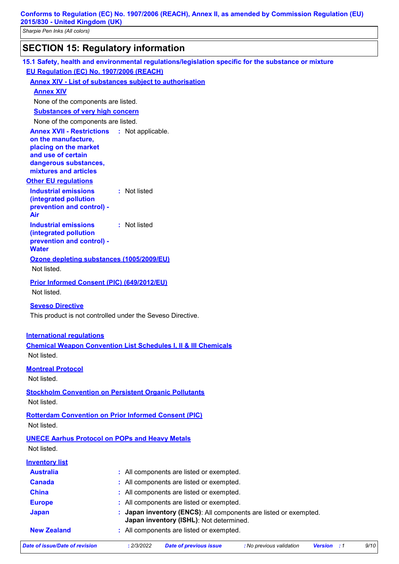*Sharpie Pen Inks (All colors)*

# **SECTION 15: Regulatory information**

|                                                             | 15.1 Safety, health and environmental regulations/legislation specific for the substance or mixture |  |
|-------------------------------------------------------------|-----------------------------------------------------------------------------------------------------|--|
| EU Regulation (EC) No. 1907/2006 (REACH)                    |                                                                                                     |  |
|                                                             | <b>Annex XIV - List of substances subject to authorisation</b>                                      |  |
| <b>Annex XIV</b>                                            |                                                                                                     |  |
| None of the components are listed.                          |                                                                                                     |  |
| <b>Substances of very high concern</b>                      |                                                                                                     |  |
| None of the components are listed.                          |                                                                                                     |  |
| <b>Annex XVII - Restrictions : Not applicable.</b>          |                                                                                                     |  |
| on the manufacture,<br>placing on the market                |                                                                                                     |  |
| and use of certain                                          |                                                                                                     |  |
| dangerous substances,                                       |                                                                                                     |  |
| mixtures and articles                                       |                                                                                                     |  |
| <b>Other EU regulations</b>                                 | : Not listed                                                                                        |  |
| <b>Industrial emissions</b><br>(integrated pollution        |                                                                                                     |  |
| prevention and control) -                                   |                                                                                                     |  |
| Air                                                         |                                                                                                     |  |
| <b>Industrial emissions</b>                                 | : Not listed                                                                                        |  |
| (integrated pollution<br>prevention and control) -          |                                                                                                     |  |
| <b>Water</b>                                                |                                                                                                     |  |
| Ozone depleting substances (1005/2009/EU)                   |                                                                                                     |  |
| Not listed.                                                 |                                                                                                     |  |
| Prior Informed Consent (PIC) (649/2012/EU)                  |                                                                                                     |  |
| Not listed.                                                 |                                                                                                     |  |
| <b>Seveso Directive</b>                                     |                                                                                                     |  |
|                                                             | This product is not controlled under the Seveso Directive.                                          |  |
| <b>International regulations</b>                            |                                                                                                     |  |
|                                                             | <b>Chemical Weapon Convention List Schedules I, II &amp; III Chemicals</b>                          |  |
| Not listed.                                                 |                                                                                                     |  |
|                                                             |                                                                                                     |  |
| <b>Montreal Protocol</b><br>Not listed.                     |                                                                                                     |  |
|                                                             |                                                                                                     |  |
|                                                             | <b>Stockholm Convention on Persistent Organic Pollutants</b>                                        |  |
| Not listed.                                                 |                                                                                                     |  |
| <b>Rotterdam Convention on Prior Informed Consent (PIC)</b> |                                                                                                     |  |
| Not listed.                                                 |                                                                                                     |  |
| <b>UNECE Aarhus Protocol on POPs and Heavy Metals</b>       |                                                                                                     |  |
| Not listed.                                                 |                                                                                                     |  |
| <b>Inventory list</b>                                       |                                                                                                     |  |
| <b>Australia</b>                                            | : All components are listed or exempted.                                                            |  |
| <b>Canada</b>                                               | All components are listed or exempted.                                                              |  |
| <b>China</b>                                                | All components are listed or exempted.                                                              |  |
| <b>Europe</b>                                               | All components are listed or exempted.                                                              |  |
| <b>Japan</b>                                                | Japan inventory (ENCS): All components are listed or exempted.                                      |  |
| <b>New Zealand</b>                                          | Japan inventory (ISHL): Not determined.<br>: All components are listed or exempted.                 |  |
|                                                             |                                                                                                     |  |